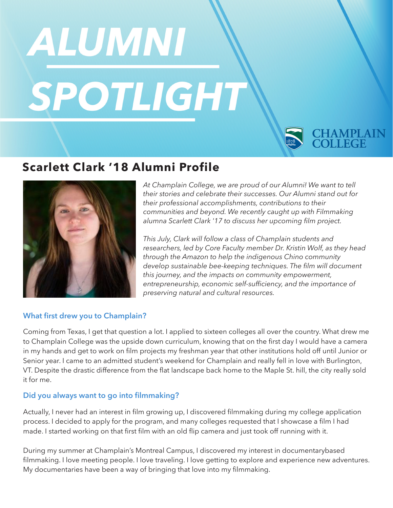# ALUMNI SPOTLIGHT

## **CHAMPLAIN**<br>COLLEGE

### **Scarlett Clark '18 Alumni Profile**



*At Champlain College, we are proud of our Alumni! We want to tell their stories and celebrate their successes. Our Alumni stand out for their professional accomplishments, contributions to their communities and beyond. We recently caught up with Filmmaking alumna Scarlett Clark '17 to discuss her upcoming flm project.*

*This July, Clark will follow a class of Champlain students and researchers, led by Core Faculty member Dr. Kristin Wolf, as they head through the Amazon to help the indigenous Chino community develop sustainable bee-keeping techniques. The flm will document this journey, and the impacts on community empowerment,*  entrepreneurship, economic self-sufficiency, and the importance of *preserving natural and cultural resources.*

#### **What frst drew you to Champlain?**

Coming from Texas, I get that question a lot. I applied to sixteen colleges all over the country. What drew me to Champlain College was the upside down curriculum, knowing that on the frst day I would have a camera in my hands and get to work on flm projects my freshman year that other institutions hold off until Junior or Senior year. I came to an admitted student's weekend for Champlain and really fell in love with Burlington, VT. Despite the drastic difference from the flat landscape back home to the Maple St. hill, the city really sold it for me.

#### **Did you always want to go into flmmaking?**

Actually, I never had an interest in flm growing up, I discovered flmmaking during my college application process. I decided to apply for the program, and many colleges requested that I showcase a flm I had made. I started working on that frst flm with an old fip camera and just took off running with it.

During my summer at Champlain's Montreal Campus, I discovered my interest in documentarybased filmmaking. I love meeting people. I love traveling. I love getting to explore and experience new adventures. My documentaries have been a way of bringing that love into my flmmaking.